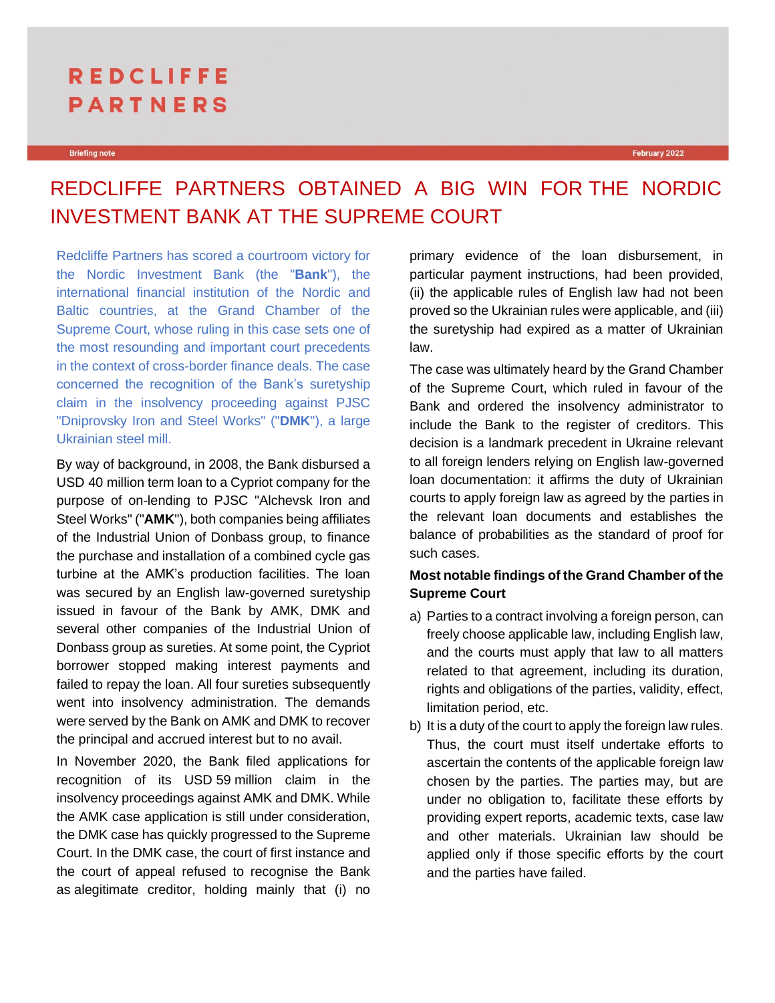# **REDCLIFFE PARTNERS**

## REDCLIFFE PARTNERS OBTAINED A BIG WIN FOR THE NORDIC INVESTMENT BANK AT THE SUPREME COURT

Redcliffe Partners has scored a courtroom victory for the Nordic Investment Bank (the "**Bank**"), the international financial institution of the Nordic and Baltic countries, at the Grand Chamber of the Supreme Court, whose ruling in this case sets one of the most resounding and important court precedents in the context of cross-border finance deals. The case concerned the recognition of the Bank's suretyship claim in the insolvency proceeding against PJSC "Dniprovsky Iron and Steel Works" ("**DMK**"), a large Ukrainian steel mill.

By way of background, in 2008, the Bank disbursed a USD 40 million term loan to a Cypriot company for the purpose of on-lending to PJSC "Alchevsk Iron and Steel Works" ("**AMK**"), both companies being affiliates of the Industrial Union of Donbass group, to finance the purchase and installation of a combined cycle gas turbine at the AMK's production facilities. The loan was secured by an English law-governed suretyship issued in favour of the Bank by AMK, DMK and several other companies of the Industrial Union of Donbass group as sureties. At some point, the Cypriot borrower stopped making interest payments and failed to repay the loan. All four sureties subsequently went into insolvency administration. The demands were served by the Bank on AMK and DMK to recover the principal and accrued interest but to no avail.

In November 2020, the Bank filed applications for recognition of its USD 59 million claim in the insolvency proceedings against AMK and DMK. While the AMK case application is still under consideration, the DMK case has quickly progressed to the Supreme Court. In the DMK case, the court of first instance and the court of appeal refused to recognise the Bank as alegitimate creditor, holding mainly that (i) no

primary evidence of the loan disbursement, in particular payment instructions, had been provided, (ii) the applicable rules of English law had not been proved so the Ukrainian rules were applicable, and (iii) the suretyship had expired as a matter of Ukrainian law.

The case was ultimately heard by the Grand Chamber of the Supreme Court, which ruled in favour of the Bank and ordered the insolvency administrator to include the Bank to the register of creditors. This decision is a landmark precedent in Ukraine relevant to all foreign lenders relying on English law-governed loan documentation: it affirms the duty of Ukrainian courts to apply foreign law as agreed by the parties in the relevant loan documents and establishes the balance of probabilities as the standard of proof for such cases.

### **Most notable findings of the Grand Chamber of the Supreme Court**

- a) Parties to a contract involving a foreign person, can freely choose applicable law, including English law, and the courts must apply that law to all matters related to that agreement, including its duration, rights and obligations of the parties, validity, effect, limitation period, etc.
- b) It is a duty of the court to apply the foreign law rules. Thus, the court must itself undertake efforts to ascertain the contents of the applicable foreign law chosen by the parties. The parties may, but are under no obligation to, facilitate these efforts by providing expert reports, academic texts, case law and other materials. Ukrainian law should be applied only if those specific efforts by the court and the parties have failed.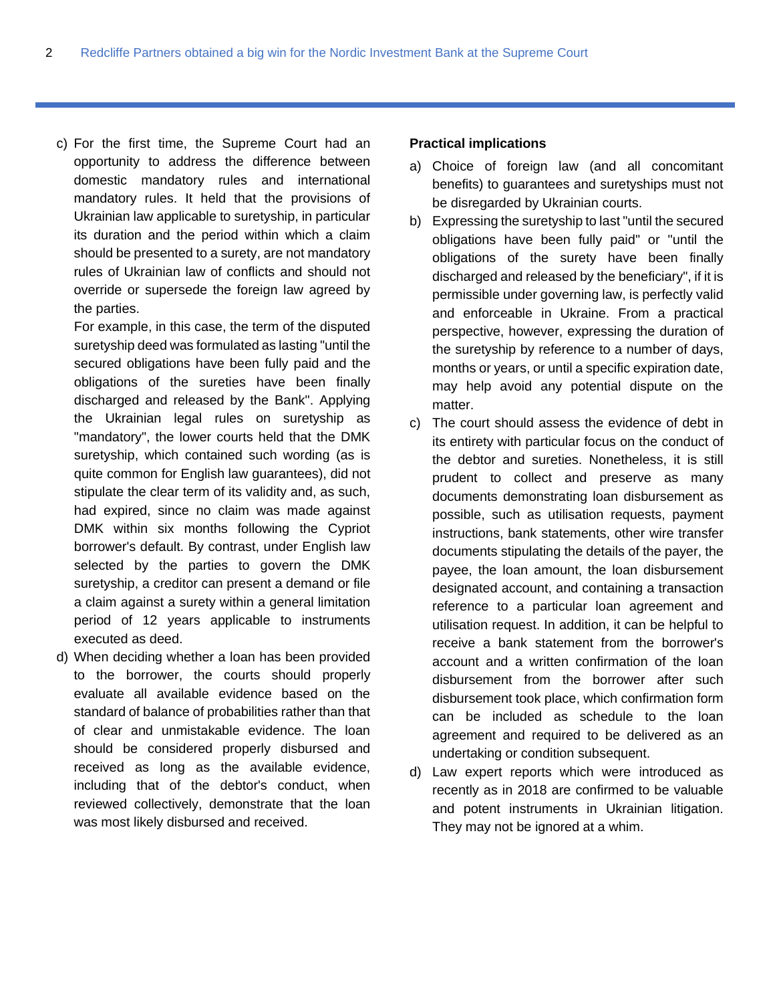c) For the first time, the Supreme Court had an opportunity to address the difference between domestic mandatory rules and international mandatory rules. It held that the provisions of Ukrainian law applicable to suretyship, in particular its duration and the period within which a claim should be presented to a surety, are not mandatory rules of Ukrainian law of conflicts and should not override or supersede the foreign law agreed by the parties.

For example, in this case, the term of the disputed suretyship deed was formulated as lasting "until the secured obligations have been fully paid and the obligations of the sureties have been finally discharged and released by the Bank". Applying the Ukrainian legal rules on suretyship as "mandatory", the lower courts held that the DMK suretyship, which contained such wording (as is quite common for English law guarantees), did not stipulate the clear term of its validity and, as such, had expired, since no claim was made against DMK within six months following the Cypriot borrower's default. By contrast, under English law selected by the parties to govern the DMK suretyship, a creditor can present a demand or file a claim against a surety within a general limitation period of 12 years applicable to instruments executed as deed.

d) When deciding whether a loan has been provided to the borrower, the courts should properly evaluate all available evidence based on the standard of balance of probabilities rather than that of clear and unmistakable evidence. The loan should be considered properly disbursed and received as long as the available evidence, including that of the debtor's conduct, when reviewed collectively, demonstrate that the loan was most likely disbursed and received.

#### **Practical implications**

- a) Choice of foreign law (and all concomitant benefits) to guarantees and suretyships must not be disregarded by Ukrainian courts.
- b) Expressing the suretyship to last "until the secured obligations have been fully paid" or "until the obligations of the surety have been finally discharged and released by the beneficiary", if it is permissible under governing law, is perfectly valid and enforceable in Ukraine. From a practical perspective, however, expressing the duration of the suretyship by reference to a number of days, months or years, or until a specific expiration date, may help avoid any potential dispute on the matter.
- c) The court should assess the evidence of debt in its entirety with particular focus on the conduct of the debtor and sureties. Nonetheless, it is still prudent to collect and preserve as many documents demonstrating loan disbursement as possible, such as utilisation requests, payment instructions, bank statements, other wire transfer documents stipulating the details of the payer, the payee, the loan amount, the loan disbursement designated account, and containing a transaction reference to a particular loan agreement and utilisation request. In addition, it can be helpful to receive a bank statement from the borrower's account and a written confirmation of the loan disbursement from the borrower after such disbursement took place, which confirmation form can be included as schedule to the loan agreement and required to be delivered as an undertaking or condition subsequent.
- d) Law expert reports which were introduced as recently as in 2018 are confirmed to be valuable and potent instruments in Ukrainian litigation. They may not be ignored at a whim.